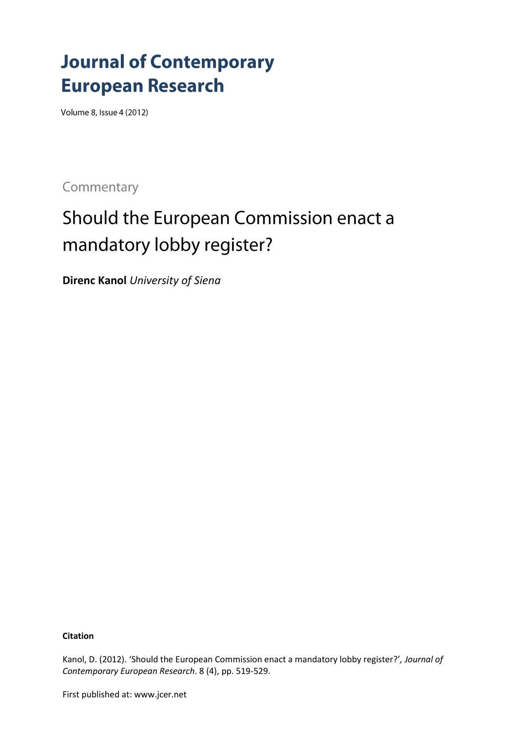# **Journal of Contemporary European Research**

Volume 8, Issue 4 (2012)

Commentary

# Should the European Commission enact a mandatory lobby register?

**Direnc Kanol** *University of Siena*

**Citation**

Kanol, D. (2012). 'Should the European Commission enact a mandatory lobby register?'*, Journal of Contemporary European Research*. 8 (4), pp. 519-529.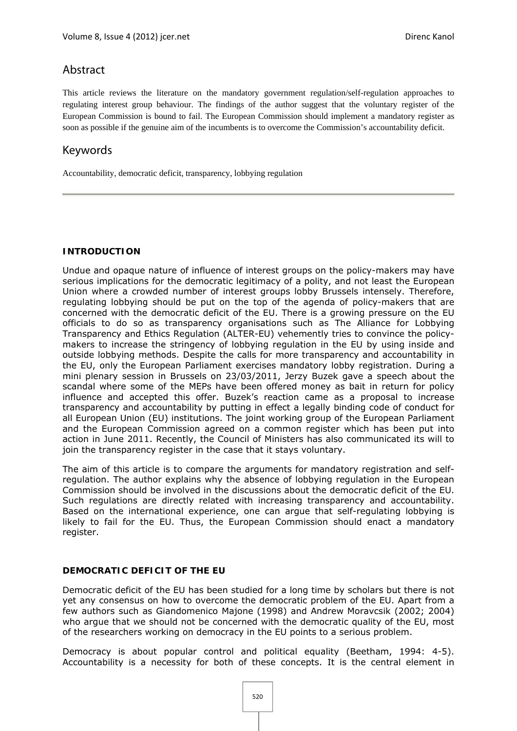# Abstract

This article reviews the literature on the mandatory government regulation/self-regulation approaches to regulating interest group behaviour. The findings of the author suggest that the voluntary register of the European Commission is bound to fail. The European Commission should implement a mandatory register as soon as possible if the genuine aim of the incumbents is to overcome the Commission's accountability deficit.

# Keywords

Accountability, democratic deficit, transparency, lobbying regulation

### **INTRODUCTION**

Undue and opaque nature of influence of interest groups on the policy-makers may have serious implications for the democratic legitimacy of a polity, and not least the European Union where a crowded number of interest groups lobby Brussels intensely. Therefore, regulating lobbying should be put on the top of the agenda of policy-makers that are concerned with the democratic deficit of the EU. There is a growing pressure on the EU officials to do so as transparency organisations such as The Alliance for Lobbying Transparency and Ethics Regulation (ALTER-EU) vehemently tries to convince the policymakers to increase the stringency of lobbying regulation in the EU by using inside and outside lobbying methods. Despite the calls for more transparency and accountability in the EU, only the European Parliament exercises mandatory lobby registration. During a mini plenary session in Brussels on 23/03/2011, Jerzy Buzek gave a speech about the scandal where some of the MEPs have been offered money as bait in return for policy influence and accepted this offer. Buzek's reaction came as a proposal to increase transparency and accountability by putting in effect a legally binding code of conduct for all European Union (EU) institutions. The joint working group of the European Parliament and the European Commission agreed on a common register which has been put into action in June 2011. Recently, the Council of Ministers has also communicated its will to join the transparency register in the case that it stays voluntary.

The aim of this article is to compare the arguments for mandatory registration and selfregulation. The author explains why the absence of lobbying regulation in the European Commission should be involved in the discussions about the democratic deficit of the EU. Such regulations are directly related with increasing transparency and accountability. Based on the international experience, one can argue that self-regulating lobbying is likely to fail for the EU. Thus, the European Commission should enact a mandatory register.

#### **DEMOCRATIC DEFICIT OF THE EU**

Democratic deficit of the EU has been studied for a long time by scholars but there is not yet any consensus on how to overcome the democratic problem of the EU. Apart from a few authors such as Giandomenico Majone (1998) and Andrew Moravcsik (2002; 2004) who argue that we should not be concerned with the democratic quality of the EU, most of the researchers working on democracy in the EU points to a serious problem.

Democracy is about popular control and political equality (Beetham, 1994: 4-5). Accountability is a necessity for both of these concepts. It is the central element in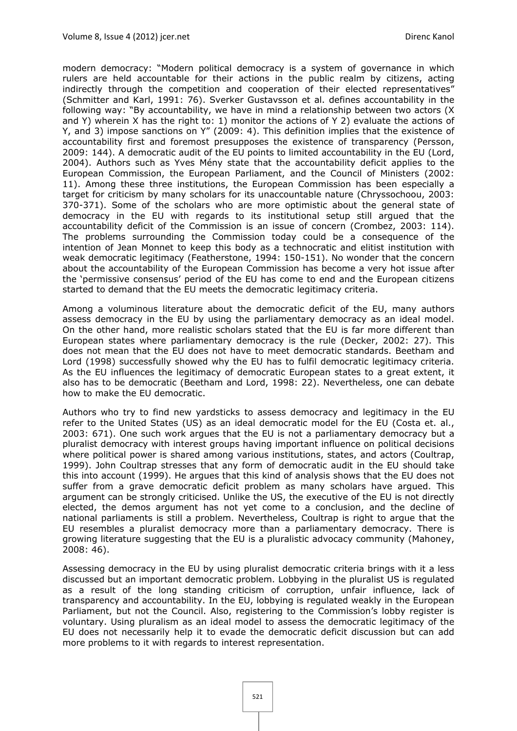modern democracy: "Modern political democracy is a system of governance in which rulers are held accountable for their actions in the public realm by citizens, acting indirectly through the competition and cooperation of their elected representatives" (Schmitter and Karl, 1991: 76). Sverker Gustavsson et al. defines accountability in the following way: "By accountability, we have in mind a relationship between two actors (X and Y) wherein X has the right to: 1) monitor the actions of Y 2) evaluate the actions of Y, and 3) impose sanctions on Y" (2009: 4). This definition implies that the existence of accountability first and foremost presupposes the existence of transparency (Persson, 2009: 144). A democratic audit of the EU points to limited accountability in the EU (Lord, 2004). Authors such as Yves Mény state that the accountability deficit applies to the European Commission, the European Parliament, and the Council of Ministers (2002: 11). Among these three institutions, the European Commission has been especially a target for criticism by many scholars for its unaccountable nature (Chryssochoou, 2003: 370-371). Some of the scholars who are more optimistic about the general state of democracy in the EU with regards to its institutional setup still argued that the accountability deficit of the Commission is an issue of concern (Crombez, 2003: 114). The problems surrounding the Commission today could be a consequence of the intention of Jean Monnet to keep this body as a technocratic and elitist institution with weak democratic legitimacy (Featherstone, 1994: 150-151). No wonder that the concern about the accountability of the European Commission has become a very hot issue after the 'permissive consensus' period of the EU has come to end and the European citizens started to demand that the EU meets the democratic legitimacy criteria.

Among a voluminous literature about the democratic deficit of the EU, many authors assess democracy in the EU by using the parliamentary democracy as an ideal model. On the other hand, more realistic scholars stated that the EU is far more different than European states where parliamentary democracy is the rule (Decker, 2002: 27). This does not mean that the EU does not have to meet democratic standards. Beetham and Lord (1998) successfully showed why the EU has to fulfil democratic legitimacy criteria. As the EU influences the legitimacy of democratic European states to a great extent, it also has to be democratic (Beetham and Lord, 1998: 22). Nevertheless, one can debate how to make the EU democratic.

Authors who try to find new yardsticks to assess democracy and legitimacy in the EU refer to the United States (US) as an ideal democratic model for the EU (Costa et. al., 2003: 671). One such work argues that the EU is not a parliamentary democracy but a pluralist democracy with interest groups having important influence on political decisions where political power is shared among various institutions, states, and actors (Coultrap, 1999). John Coultrap stresses that any form of democratic audit in the EU should take this into account (1999). He argues that this kind of analysis shows that the EU does not suffer from a grave democratic deficit problem as many scholars have argued. This argument can be strongly criticised. Unlike the US, the executive of the EU is not directly elected, the demos argument has not yet come to a conclusion, and the decline of national parliaments is still a problem. Nevertheless, Coultrap is right to argue that the EU resembles a pluralist democracy more than a parliamentary democracy. There is growing literature suggesting that the EU is a pluralistic advocacy community (Mahoney, 2008: 46).

Assessing democracy in the EU by using pluralist democratic criteria brings with it a less discussed but an important democratic problem. Lobbying in the pluralist US is regulated as a result of the long standing criticism of corruption, unfair influence, lack of transparency and accountability. In the EU, lobbying is regulated weakly in the European Parliament, but not the Council. Also, registering to the Commission's lobby register is voluntary. Using pluralism as an ideal model to assess the democratic legitimacy of the EU does not necessarily help it to evade the democratic deficit discussion but can add more problems to it with regards to interest representation.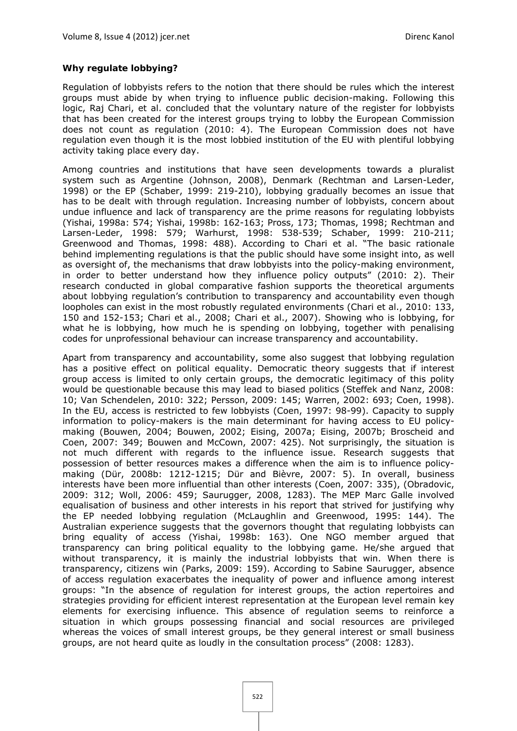## **Why regulate lobbying?**

Regulation of lobbyists refers to the notion that there should be rules which the interest groups must abide by when trying to influence public decision-making. Following this logic, Raj Chari, et al. concluded that the voluntary nature of the register for lobbyists that has been created for the interest groups trying to lobby the European Commission does not count as regulation (2010: 4). The European Commission does not have regulation even though it is the most lobbied institution of the EU with plentiful lobbying activity taking place every day.

Among countries and institutions that have seen developments towards a pluralist system such as Argentine (Johnson, 2008), Denmark (Rechtman and Larsen-Leder, 1998) or the EP (Schaber, 1999: 219-210), lobbying gradually becomes an issue that has to be dealt with through regulation. Increasing number of lobbyists, concern about undue influence and lack of transparency are the prime reasons for regulating lobbyists (Yishai, 1998a: 574; Yishai, 1998b: 162-163; Pross, 173; Thomas, 1998; Rechtman and Larsen-Leder, 1998: 579; Warhurst, 1998: 538-539; Schaber, 1999: 210-211; Greenwood and Thomas, 1998: 488). According to Chari et al. "The basic rationale behind implementing regulations is that the public should have some insight into, as well as oversight of, the mechanisms that draw lobbyists into the policy-making environment, in order to better understand how they influence policy outputs" (2010: 2). Their research conducted in global comparative fashion supports the theoretical arguments about lobbying regulation's contribution to transparency and accountability even though loopholes can exist in the most robustly regulated environments (Chari et al., 2010: 133, 150 and 152-153; Chari et al., 2008; Chari et al., 2007). Showing who is lobbying, for what he is lobbying, how much he is spending on lobbying, together with penalising codes for unprofessional behaviour can increase transparency and accountability.

Apart from transparency and accountability, some also suggest that lobbying regulation has a positive effect on political equality. Democratic theory suggests that if interest group access is limited to only certain groups, the democratic legitimacy of this polity would be questionable because this may lead to biased politics (Steffek and Nanz, 2008: 10; Van Schendelen, 2010: 322; Persson, 2009: 145; Warren, 2002: 693; Coen, 1998). In the EU, access is restricted to few lobbyists (Coen, 1997: 98-99). Capacity to supply information to policy-makers is the main determinant for having access to EU policymaking (Bouwen, 2004; Bouwen, 2002; Eising, 2007a; Eising, 2007b; Broscheid and Coen, 2007: 349; Bouwen and McCown, 2007: 425). Not surprisingly, the situation is not much different with regards to the influence issue. Research suggests that possession of better resources makes a difference when the aim is to influence policymaking (Dür, 2008b: 1212-1215; Dür and Bièvre, 2007: 5). In overall, business interests have been more influential than other interests (Coen, 2007: 335), (Obradovic, 2009: 312; Woll, 2006: 459; Saurugger, 2008, 1283). The MEP Marc Galle involved equalisation of business and other interests in his report that strived for justifying why the EP needed lobbying regulation (McLaughlin and Greenwood, 1995: 144). The Australian experience suggests that the governors thought that regulating lobbyists can bring equality of access (Yishai, 1998b: 163). One NGO member argued that transparency can bring political equality to the lobbying game. He/she argued that without transparency, it is mainly the industrial lobbyists that win. When there is transparency, citizens win (Parks, 2009: 159). According to Sabine Saurugger, absence of access regulation exacerbates the inequality of power and influence among interest groups: "In the absence of regulation for interest groups, the action repertoires and strategies providing for efficient interest representation at the European level remain key elements for exercising influence. This absence of regulation seems to reinforce a situation in which groups possessing financial and social resources are privileged whereas the voices of small interest groups, be they general interest or small business groups, are not heard quite as loudly in the consultation process" (2008: 1283).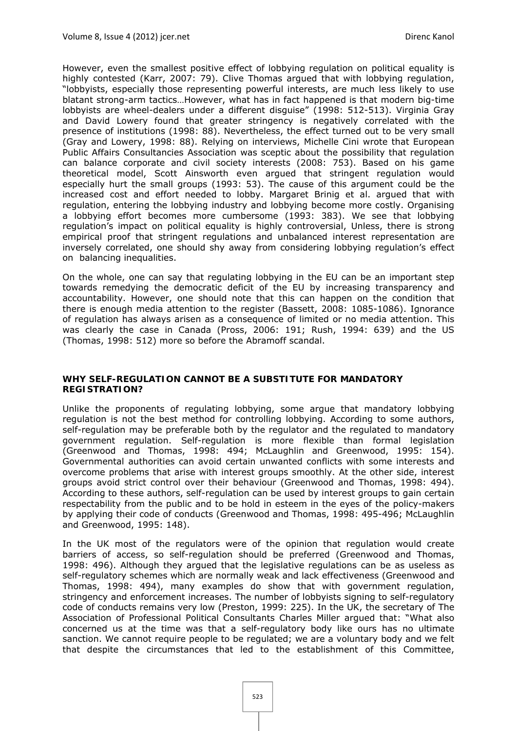However, even the smallest positive effect of lobbying regulation on political equality is highly contested (Karr, 2007: 79). Clive Thomas argued that with lobbying regulation, "lobbyists, especially those representing powerful interests, are much less likely to use blatant strong-arm tactics…However, what has in fact happened is that modern big-time lobbyists are wheel-dealers under a different disguise" (1998: 512-513). Virginia Gray and David Lowery found that greater stringency is negatively correlated with the presence of institutions (1998: 88). Nevertheless, the effect turned out to be very small (Gray and Lowery, 1998: 88). Relying on interviews, Michelle Cini wrote that European Public Affairs Consultancies Association was sceptic about the possibility that regulation can balance corporate and civil society interests (2008: 753). Based on his game theoretical model, Scott Ainsworth even argued that stringent regulation would especially hurt the small groups (1993: 53). The cause of this argument could be the increased cost and effort needed to lobby. Margaret Brinig et al. argued that with regulation, entering the lobbying industry and lobbying become more costly. Organising a lobbying effort becomes more cumbersome (1993: 383). We see that lobbying regulation's impact on political equality is highly controversial, Unless, there is strong empirical proof that stringent regulations and unbalanced interest representation are inversely correlated, one should shy away from considering lobbying regulation's effect on balancing inequalities.

On the whole, one can say that regulating lobbying in the EU can be an important step towards remedying the democratic deficit of the EU by increasing transparency and accountability. However, one should note that this can happen on the condition that there is enough media attention to the register (Bassett, 2008: 1085-1086). Ignorance of regulation has always arisen as a consequence of limited or no media attention. This was clearly the case in Canada (Pross, 2006: 191; Rush, 1994: 639) and the US (Thomas, 1998: 512) more so before the Abramoff scandal.

## **WHY SELF-REGULATION CANNOT BE A SUBSTITUTE FOR MANDATORY REGISTRATION?**

Unlike the proponents of regulating lobbying, some argue that mandatory lobbying regulation is not the best method for controlling lobbying. According to some authors, self-regulation may be preferable both by the regulator and the regulated to mandatory government regulation. Self-regulation is more flexible than formal legislation (Greenwood and Thomas, 1998: 494; McLaughlin and Greenwood, 1995: 154). Governmental authorities can avoid certain unwanted conflicts with some interests and overcome problems that arise with interest groups smoothly. At the other side, interest groups avoid strict control over their behaviour (Greenwood and Thomas, 1998: 494). According to these authors, self-regulation can be used by interest groups to gain certain respectability from the public and to be hold in esteem in the eyes of the policy-makers by applying their code of conducts (Greenwood and Thomas, 1998: 495-496; McLaughlin and Greenwood, 1995: 148).

In the UK most of the regulators were of the opinion that regulation would create barriers of access, so self-regulation should be preferred (Greenwood and Thomas, 1998: 496). Although they argued that the legislative regulations can be as useless as self-regulatory schemes which are normally weak and lack effectiveness (Greenwood and Thomas, 1998: 494), many examples do show that with government regulation, stringency and enforcement increases. The number of lobbyists signing to self-regulatory code of conducts remains very low (Preston, 1999: 225). In the UK, the secretary of The Association of Professional Political Consultants Charles Miller argued that: "What also concerned us at the time was that a self-regulatory body like ours has no ultimate sanction. We cannot require people to be regulated; we are a voluntary body and we felt that despite the circumstances that led to the establishment of this Committee,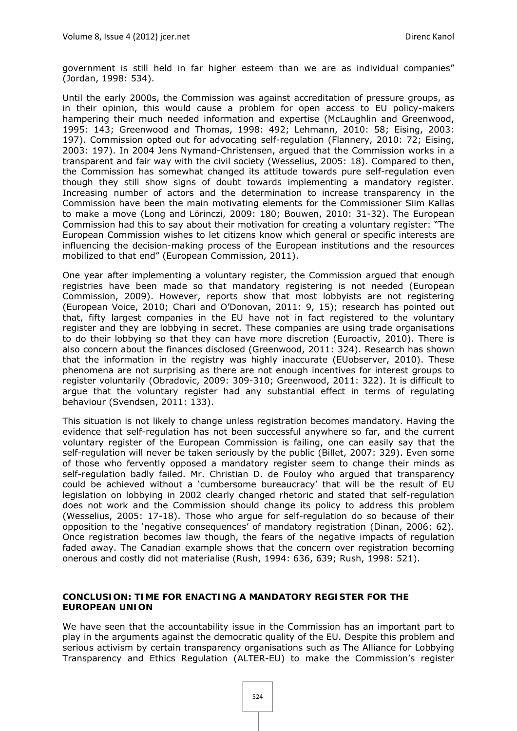government is still held in far higher esteem than we are as individual companies" (Jordan, 1998: 534).

Until the early 2000s, the Commission was against accreditation of pressure groups, as in their opinion, this would cause a problem for open access to EU policy-makers hampering their much needed information and expertise (McLaughlin and Greenwood, 1995: 143; Greenwood and Thomas, 1998: 492; Lehmann, 2010: 58; Eising, 2003: 197). Commission opted out for advocating self-regulation (Flannery, 2010: 72; Eising, 2003: 197). In 2004 Jens Nymand-Christensen, argued that the Commission works in a transparent and fair way with the civil society (Wesselius, 2005: 18). Compared to then, the Commission has somewhat changed its attitude towards pure self-regulation even though they still show signs of doubt towards implementing a mandatory register. Increasing number of actors and the determination to increase transparency in the Commission have been the main motivating elements for the Commissioner Siim Kallas to make a move (Long and Lörinczi, 2009: 180; Bouwen, 2010: 31-32). The European Commission had this to say about their motivation for creating a voluntary register: "The European Commission wishes to let citizens know which general or specific interests are influencing the decision-making process of the European institutions and the resources mobilized to that end" (European Commission, 2011).

One year after implementing a voluntary register, the Commission argued that enough registries have been made so that mandatory registering is not needed (European Commission, 2009). However, reports show that most lobbyists are not registering (European Voice, 2010; Chari and O'Donovan, 2011: 9, 15); research has pointed out that, fifty largest companies in the EU have not in fact registered to the voluntary register and they are lobbying in secret. These companies are using trade organisations to do their lobbying so that they can have more discretion (Euroactiv, 2010). There is also concern about the finances disclosed (Greenwood, 2011: 324). Research has shown that the information in the registry was highly inaccurate (EUobserver, 2010). These phenomena are not surprising as there are not enough incentives for interest groups to register voluntarily (Obradovic, 2009: 309-310; Greenwood, 2011: 322). It is difficult to argue that the voluntary register had any substantial effect in terms of regulating behaviour (Svendsen, 2011: 133).

This situation is not likely to change unless registration becomes mandatory. Having the evidence that self-regulation has not been successful anywhere so far, and the current voluntary register of the European Commission is failing, one can easily say that the self-regulation will never be taken seriously by the public (Billet, 2007: 329). Even some of those who fervently opposed a mandatory register seem to change their minds as self-regulation badly failed. Mr. Christian D. de Fouloy who argued that transparency could be achieved without a 'cumbersome bureaucracy' that will be the result of EU legislation on lobbying in 2002 clearly changed rhetoric and stated that self-regulation does not work and the Commission should change its policy to address this problem (Wesselius, 2005: 17-18). Those who argue for self-regulation do so because of their opposition to the 'negative consequences' of mandatory registration (Dinan, 2006: 62). Once registration becomes law though, the fears of the negative impacts of regulation faded away. The Canadian example shows that the concern over registration becoming onerous and costly did not materialise (Rush, 1994: 636, 639; Rush, 1998: 521).

## **CONCLUSION: TIME FOR ENACTING A MANDATORY REGISTER FOR THE EUROPEAN UNION**

We have seen that the accountability issue in the Commission has an important part to play in the arguments against the democratic quality of the EU. Despite this problem and serious activism by certain transparency organisations such as The Alliance for Lobbying Transparency and Ethics Regulation (ALTER-EU) to make the Commission's register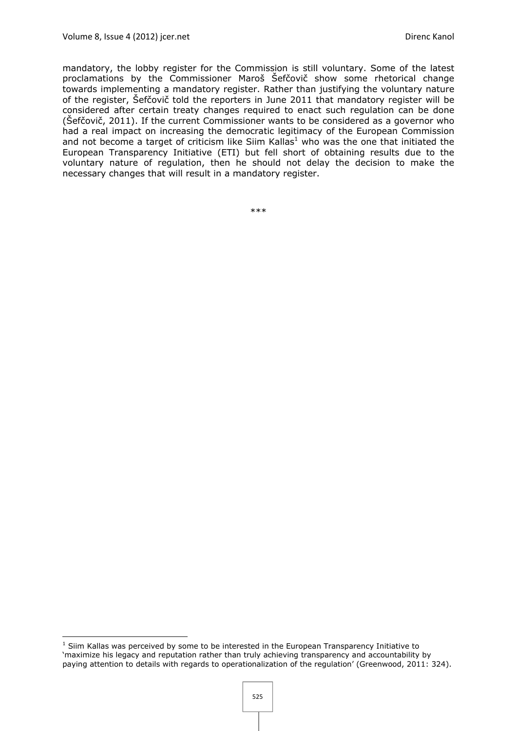mandatory, the lobby register for the Commission is still voluntary. Some of the latest proclamations by the Commissioner Maroš Šefčovič show some rhetorical change towards implementing a mandatory register. Rather than justifying the voluntary nature of the register, Šefčovič told the reporters in June 2011 that mandatory register will be considered after certain treaty changes required to enact such regulation can be done (Šefčovič, 2011). If the current Commissioner wants to be considered as a governor who had a real impact on increasing the democratic legitimacy of the European Commission and not become a target of criticism like Siim Kallas<sup>1</sup> who was the one that initiated the European Transparency Initiative (ETI) but fell short of obtaining results due to the voluntary nature of regulation, then he should not delay the decision to make the necessary changes that will result in a mandatory register.

\*\*\*

<sup>&</sup>lt;sup>1</sup> Siim Kallas was perceived by some to be interested in the European Transparency Initiative to 'maximize his legacy and reputation rather than truly achieving transparency and accountability by paying attention to details with regards to operationalization of the regulation' (Greenwood, 2011: 324).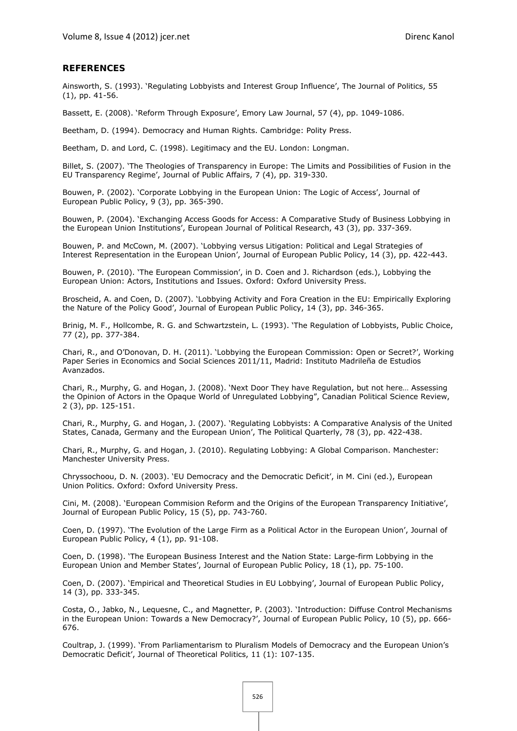#### **REFERENCES**

Ainsworth, S. (1993). 'Regulating Lobbyists and Interest Group Influence', The Journal of Politics, 55 (1), pp. 41-56.

Bassett, E. (2008). 'Reform Through Exposure', Emory Law Journal, 57 (4), pp. 1049-1086.

Beetham, D. (1994). Democracy and Human Rights. Cambridge: Polity Press.

Beetham, D. and Lord, C. (1998). Legitimacy and the EU. London: Longman.

Billet, S. (2007). 'The Theologies of Transparency in Europe: The Limits and Possibilities of Fusion in the EU Transparency Regime', Journal of Public Affairs, 7 (4), pp. 319-330.

Bouwen, P. (2002). 'Corporate Lobbying in the European Union: The Logic of Access', Journal of European Public Policy, 9 (3), pp. 365-390.

Bouwen, P. (2004). 'Exchanging Access Goods for Access: A Comparative Study of Business Lobbying in the European Union Institutions', European Journal of Political Research, 43 (3), pp. 337-369.

Bouwen, P. and McCown, M. (2007). 'Lobbying versus Litigation: Political and Legal Strategies of Interest Representation in the European Union', Journal of European Public Policy, 14 (3), pp. 422-443.

Bouwen, P. (2010). 'The European Commission', in D. Coen and J. Richardson (eds.), Lobbying the European Union: Actors, Institutions and Issues. Oxford: Oxford University Press.

Broscheid, A. and Coen, D. (2007). 'Lobbying Activity and Fora Creation in the EU: Empirically Exploring the Nature of the Policy Good', Journal of European Public Policy, 14 (3), pp. 346-365.

Brinig, M. F., Hollcombe, R. G. and Schwartzstein, L. (1993). 'The Regulation of Lobbyists, Public Choice, 77 (2), pp. 377-384.

Chari, R., and O'Donovan, D. H. (2011). 'Lobbying the European Commission: Open or Secret?', Working Paper Series in Economics and Social Sciences 2011/11, Madrid: Instituto Madrileña de Estudios Avanzados.

Chari, R., Murphy, G. and Hogan, J. (2008). 'Next Door They have Regulation, but not here… Assessing the Opinion of Actors in the Opaque World of Unregulated Lobbying", Canadian Political Science Review, 2 (3), pp. 125-151.

Chari, R., Murphy, G. and Hogan, J. (2007). 'Regulating Lobbyists: A Comparative Analysis of the United States, Canada, Germany and the European Union', The Political Quarterly, 78 (3), pp. 422-438.

Chari, R., Murphy, G. and Hogan, J. (2010). Regulating Lobbying: A Global Comparison. Manchester: Manchester University Press.

Chryssochoou, D. N. (2003). 'EU Democracy and the Democratic Deficit', in M. Cini (ed.), European Union Politics. Oxford: Oxford University Press.

Cini, M. (2008). 'European Commision Reform and the Origins of the European Transparency Initiative', Journal of European Public Policy, 15 (5), pp. 743-760.

Coen, D. (1997). 'The Evolution of the Large Firm as a Political Actor in the European Union', Journal of European Public Policy, 4 (1), pp. 91-108.

Coen, D. (1998). 'The European Business Interest and the Nation State: Large-firm Lobbying in the European Union and Member States', Journal of European Public Policy, 18 (1), pp. 75-100.

Coen, D. (2007). 'Empirical and Theoretical Studies in EU Lobbying', Journal of European Public Policy, 14 (3), pp. 333-345.

Costa, O., Jabko, N., Lequesne, C., and Magnetter, P. (2003). 'Introduction: Diffuse Control Mechanisms in the European Union: Towards a New Democracy?', Journal of European Public Policy, 10 (5), pp. 666- 676.

Coultrap, J. (1999). 'From Parliamentarism to Pluralism Models of Democracy and the European Union's Democratic Deficit', Journal of Theoretical Politics, 11 (1): 107-135.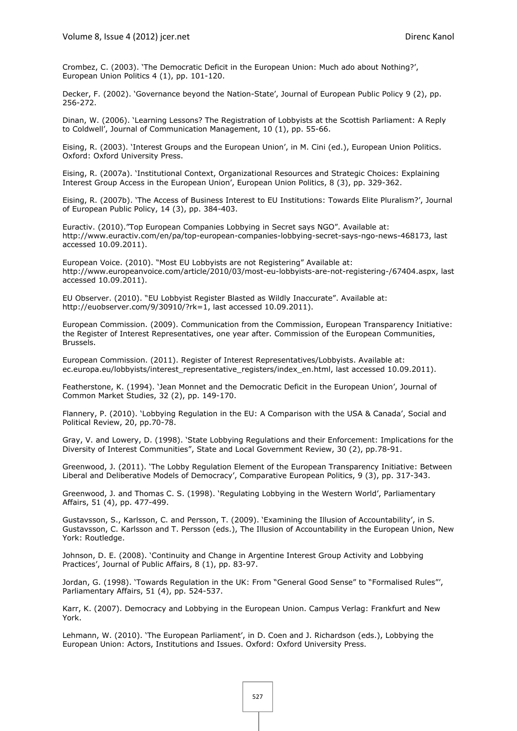Crombez, C. (2003). 'The Democratic Deficit in the European Union: Much ado about Nothing?', European Union Politics 4 (1), pp. 101-120.

Decker, F. (2002). 'Governance beyond the Nation-State', Journal of European Public Policy 9 (2), pp. 256-272.

Dinan, W. (2006). 'Learning Lessons? The Registration of Lobbyists at the Scottish Parliament: A Reply to Coldwell', Journal of Communication Management, 10 (1), pp. 55-66.

Eising, R. (2003). 'Interest Groups and the European Union', in M. Cini (ed.), European Union Politics. Oxford: Oxford University Press.

Eising, R. (2007a). 'Institutional Context, Organizational Resources and Strategic Choices: Explaining Interest Group Access in the European Union', European Union Politics, 8 (3), pp. 329-362.

Eising, R. (2007b). 'The Access of Business Interest to EU Institutions: Towards Elite Pluralism?', Journal of European Public Policy, 14 (3), pp. 384-403.

Euractiv. (2010)."Top European Companies Lobbying in Secret says NGO". Available at: http://www.euractiv.com/en/pa/top-european-companies-lobbying-secret-says-ngo-news-468173, last accessed 10.09.2011).

European Voice. (2010). "Most EU Lobbyists are not Registering" Available at: http://www.europeanvoice.com/article/2010/03/most-eu-lobbyists-are-not-registering-/67404.aspx, last accessed 10.09.2011).

EU Observer. (2010). "EU Lobbyist Register Blasted as Wildly Inaccurate". Available at: http://euobserver.com/9/30910/?rk=1, last accessed 10.09.2011).

European Commission. (2009). Communication from the Commission, European Transparency Initiative: the Register of Interest Representatives, one year after. Commission of the European Communities, Brussels.

European Commission. (2011). Register of Interest Representatives/Lobbyists. Available at: ec.europa.eu/lobbyists/interest\_representative\_registers/index\_en.html, last accessed 10.09.2011).

Featherstone, K. (1994). 'Jean Monnet and the Democratic Deficit in the European Union', Journal of Common Market Studies, 32 (2), pp. 149-170.

Flannery, P. (2010). 'Lobbying Regulation in the EU: A Comparison with the USA & Canada', Social and Political Review, 20, pp.70-78.

Gray, V. and Lowery, D. (1998). 'State Lobbying Regulations and their Enforcement: Implications for the Diversity of Interest Communities", State and Local Government Review, 30 (2), pp.78-91.

Greenwood, J. (2011). 'The Lobby Regulation Element of the European Transparency Initiative: Between Liberal and Deliberative Models of Democracy', Comparative European Politics, 9 (3), pp. 317-343.

Greenwood, J. and Thomas C. S. (1998). 'Regulating Lobbying in the Western World', Parliamentary Affairs, 51 (4), pp. 477-499.

Gustavsson, S., Karlsson, C. and Persson, T. (2009). 'Examining the Illusion of Accountability', in S. Gustavsson, C. Karlsson and T. Persson (eds.), The Illusion of Accountability in the European Union, New York: Routledge.

Johnson, D. E. (2008). 'Continuity and Change in Argentine Interest Group Activity and Lobbying Practices', Journal of Public Affairs, 8 (1), pp. 83-97.

Jordan, G. (1998). 'Towards Regulation in the UK: From "General Good Sense" to "Formalised Rules"', Parliamentary Affairs, 51 (4), pp. 524-537.

Karr, K. (2007). Democracy and Lobbying in the European Union. Campus Verlag: Frankfurt and New York.

Lehmann, W. (2010). 'The European Parliament', in D. Coen and J. Richardson (eds.), Lobbying the European Union: Actors, Institutions and Issues. Oxford: Oxford University Press.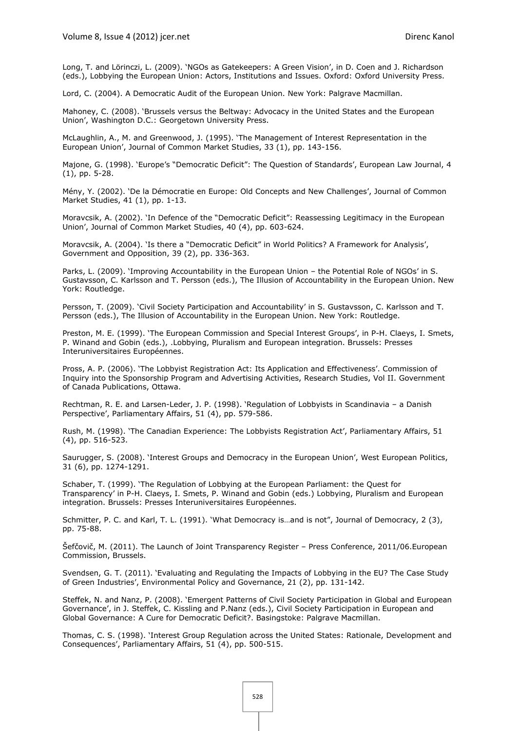Long, T. and Lörinczi, L. (2009). 'NGOs as Gatekeepers: A Green Vision', in D. Coen and J. Richardson (eds.), Lobbying the European Union: Actors, Institutions and Issues. Oxford: Oxford University Press.

Lord, C. (2004). A Democratic Audit of the European Union. New York: Palgrave Macmillan.

Mahoney, C. (2008). 'Brussels versus the Beltway: Advocacy in the United States and the European Union', Washington D.C.: Georgetown University Press.

McLaughlin, A., M. and Greenwood, J. (1995). 'The Management of Interest Representation in the European Union', Journal of Common Market Studies, 33 (1), pp. 143-156.

Majone, G. (1998). 'Europe's "Democratic Deficit": The Question of Standards', European Law Journal, 4 (1), pp. 5-28.

Mény, Y. (2002). 'De la Démocratie en Europe: Old Concepts and New Challenges', Journal of Common Market Studies, 41 (1), pp. 1-13.

Moravcsik, A. (2002). 'In Defence of the "Democratic Deficit": Reassessing Legitimacy in the European Union', Journal of Common Market Studies, 40 (4), pp. 603-624.

Moravcsik, A. (2004). 'Is there a "Democratic Deficit" in World Politics? A Framework for Analysis', Government and Opposition, 39 (2), pp. 336-363.

Parks, L. (2009). 'Improving Accountability in the European Union – the Potential Role of NGOs' in S. Gustavsson, C. Karlsson and T. Persson (eds.), The Illusion of Accountability in the European Union. New York: Routledge.

Persson, T. (2009). 'Civil Society Participation and Accountability' in S. Gustavsson, C. Karlsson and T. Persson (eds.), The Illusion of Accountability in the European Union. New York: Routledge.

Preston, M. E. (1999). 'The European Commission and Special Interest Groups', in P-H. Claeys, I. Smets, P. Winand and Gobin (eds.), .Lobbying, Pluralism and European integration. Brussels: Presses Interuniversitaires Européennes.

Pross, A. P. (2006). 'The Lobbyist Registration Act: Its Application and Effectiveness'. Commission of Inquiry into the Sponsorship Program and Advertising Activities, Research Studies, Vol II. Government of Canada Publications, Ottawa.

Rechtman, R. E. and Larsen-Leder, J. P. (1998). 'Regulation of Lobbyists in Scandinavia – a Danish Perspective', Parliamentary Affairs, 51 (4), pp. 579-586.

Rush, M. (1998). 'The Canadian Experience: The Lobbyists Registration Act', Parliamentary Affairs, 51 (4), pp. 516-523.

Saurugger, S. (2008). 'Interest Groups and Democracy in the European Union', West European Politics, 31 (6), pp. 1274-1291.

Schaber, T. (1999). 'The Regulation of Lobbying at the European Parliament: the Quest for Transparency' in P-H. Claeys, I. Smets, P. Winand and Gobin (eds.) Lobbying, Pluralism and European integration. Brussels: Presses Interuniversitaires Européennes.

Schmitter, P. C. and Karl, T. L. (1991). 'What Democracy is…and is not", Journal of Democracy, 2 (3), pp. 75-88.

Šefčovič, M. (2011). The Launch of Joint Transparency Register – Press Conference, 2011/06.European Commission, Brussels.

Svendsen, G. T. (2011). 'Evaluating and Regulating the Impacts of Lobbying in the EU? The Case Study of Green Industries', Environmental Policy and Governance, 21 (2), pp. 131-142.

Steffek, N. and Nanz, P. (2008). 'Emergent Patterns of Civil Society Participation in Global and European Governance', in J. Steffek, C. Kissling and P.Nanz (eds.), Civil Society Participation in European and Global Governance: A Cure for Democratic Deficit?. Basingstoke: Palgrave Macmillan.

Thomas, C. S. (1998). 'Interest Group Regulation across the United States: Rationale, Development and Consequences', Parliamentary Affairs, 51 (4), pp. 500-515.